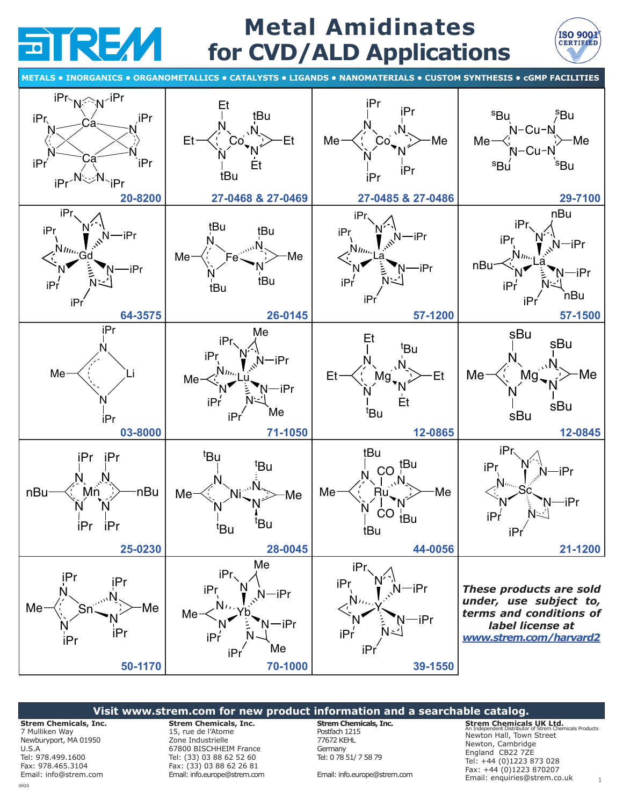

# **Metal Amidinates for CVD/ALD Applications**



**METALS • INORGANICS • ORGANOMETALLICS • CATALYSTS • LIGANDS • NANOMATERIALS • CUSTOM SYNTHESIS • cGMP FACILITIES**



### **Visit www.strem.com for new product information and a searchable catalog.**

**Strem Chemicals, Inc.** 7 Mulliken Way Newburyport, MA 01950 U.S.A Tel: 978.499.1600 Fax: 978.465.3104 Email: [info@strem.com](mailto:info%40strem.com?subject=Inquiry%3A%20Metal%20Amidinates)

**Strem Chemicals, Inc.**  15, rue de l'Atome Zone Industrielle 67800 BISCHHEIM France Tel: (33) 03 88 62 52 60

Fax: (33) 03 88 62 26 81 Email[: info.europe@strem.com](mailto:info.europe%40strem.com?subject=Inquiry%3A%20Metal%20Amidinates) **Strem Chemicals, Inc.** Postfach 1215 77672 KEHL **Germany** Tel: 0 78 51/ 7 58 79

Email: [info.europe@strem.com](mailto:info.europe%40strem.com?subject=Inquiry%3A%20Metal%20Amidinates)

**Strem Chemicals UK Ltd.** An Independent Distributor of Strem Chemicals Products Newton Hall, Town Street Newton, Cambridge England CB22 7ZE Tel: +44 (0)1223 873 028 Fax: +44 (0)1223 870207 Email: [enquiries@strem.co.uk](mailto:enquiries%40strem.co.uk?subject=Inquiry%3A%20Metal%20Amidinates) 1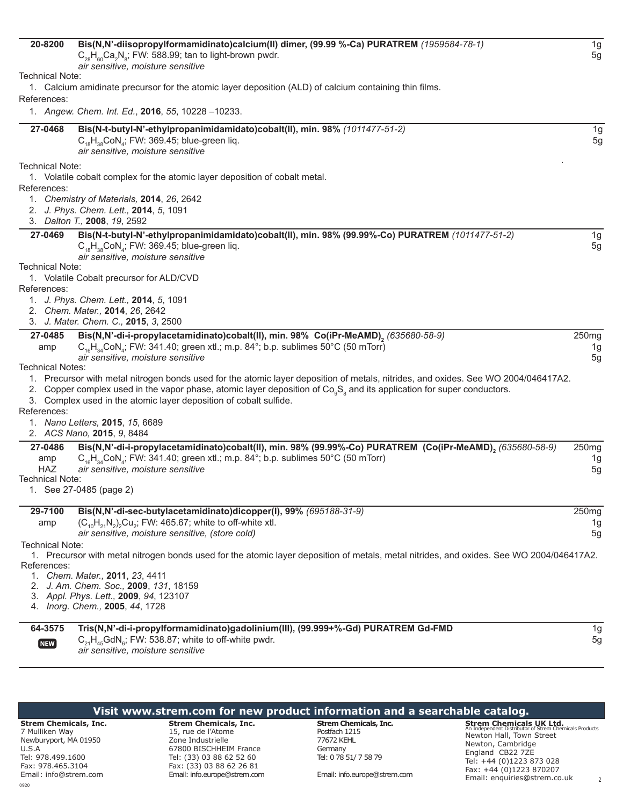<span id="page-1-0"></span>

| 20-8200                       | Bis(N,N'-diisopropylformamidinato)calcium(II) dimer, (99.99 %-Ca) PURATREM (1959584-78-1)<br>$C_{28}H_{60}Ca_2N_s$ ; FW: 588.99; tan to light-brown pwdr.<br>air sensitive, moisture sensitive | 1g<br>5g          |
|-------------------------------|------------------------------------------------------------------------------------------------------------------------------------------------------------------------------------------------|-------------------|
| <b>Technical Note:</b>        |                                                                                                                                                                                                |                   |
|                               | 1. Calcium amidinate precursor for the atomic layer deposition (ALD) of calcium containing thin films.                                                                                         |                   |
| References:                   |                                                                                                                                                                                                |                   |
|                               | 1. Angew. Chem. Int. Ed., 2016, 55, 10228 -10233.                                                                                                                                              |                   |
| 27-0468                       | Bis(N-t-butyl-N'-ethylpropanimidamidato)cobalt(II), min. 98% (1011477-51-2)                                                                                                                    | 1g                |
|                               | $C_{18}H_{38}CoN_a$ ; FW: 369.45; blue-green liq.                                                                                                                                              | 5g                |
|                               | air sensitive, moisture sensitive                                                                                                                                                              |                   |
| <b>Technical Note:</b>        |                                                                                                                                                                                                |                   |
|                               | 1. Volatile cobalt complex for the atomic layer deposition of cobalt metal.                                                                                                                    |                   |
| References:                   |                                                                                                                                                                                                |                   |
|                               | 1. Chemistry of Materials, 2014, 26, 2642                                                                                                                                                      |                   |
|                               | 2. J. Phys. Chem. Lett., 2014, 5, 1091<br>3. Dalton T., 2008, 19, 2592                                                                                                                         |                   |
|                               |                                                                                                                                                                                                |                   |
| 27-0469                       | Bis(N-t-butyl-N'-ethylpropanimidamidato)cobalt(II), min. 98% (99.99%-Co) PURATREM (1011477-51-2)<br>$C_{18}H_{38}CoN_a$ ; FW: 369.45; blue-green liq.<br>air sensitive, moisture sensitive     | 1g<br>5g          |
| <b>Technical Note:</b>        |                                                                                                                                                                                                |                   |
|                               | 1. Volatile Cobalt precursor for ALD/CVD                                                                                                                                                       |                   |
| References:                   |                                                                                                                                                                                                |                   |
|                               | 1. J. Phys. Chem. Lett., 2014, 5, 1091                                                                                                                                                         |                   |
|                               | 2. Chem. Mater., 2014, 26, 2642                                                                                                                                                                |                   |
|                               | 3. J. Mater. Chem. C., 2015, 3, 2500                                                                                                                                                           |                   |
| 27-0485                       | Bis(N,N'-di-i-propylacetamidinato)cobalt(II), min. 98% Co(iPr-MeAMD), (635680-58-9)                                                                                                            | 250 <sub>mg</sub> |
| amp                           | $C_{16}H_{34}$ CoN <sub>a</sub> ; FW: 341.40; green xtl.; m.p. 84°; b.p. sublimes 50°C (50 mTorr)<br>air sensitive, moisture sensitive                                                         | 1g<br>5g          |
| Technical Notes:              |                                                                                                                                                                                                |                   |
|                               | 1. Precursor with metal nitrogen bonds used for the atomic layer deposition of metals, nitrides, and oxides. See WO 2004/046417A2.                                                             |                   |
|                               | 2. Copper complex used in the vapor phase, atomic layer deposition of Co <sub>a</sub> S <sub>a</sub> and its application for super conductors.                                                 |                   |
|                               | 3. Complex used in the atomic layer deposition of cobalt sulfide.                                                                                                                              |                   |
| References:                   |                                                                                                                                                                                                |                   |
|                               | 1. Nano Letters, 2015, 15, 6689                                                                                                                                                                |                   |
|                               | 2. ACS Nano, 2015, 9, 8484                                                                                                                                                                     |                   |
| 27-0486                       | Bis(N,N'-di-i-propylacetamidinato)cobalt(II), min. 98% (99.99%-Co) PURATREM (Co(iPr-MeAMD), (635680-58-9)                                                                                      | 250mg             |
| amp                           | $C_{16}H_{34}$ CoN <sub>4</sub> ; FW: 341.40; green xtl.; m.p. 84°; b.p. sublimes 50°C (50 mTorr)                                                                                              | 1g                |
| <b>HAZ</b><br>Technical Note: | air sensitive, moisture sensitive                                                                                                                                                              | 5g                |
|                               | 1. See 27-0485 (page 2)                                                                                                                                                                        |                   |
|                               |                                                                                                                                                                                                |                   |
| 29-7100                       | Bis(N,N'-di-sec-butylacetamidinato)dicopper(I), 99% (695188-31-9)                                                                                                                              | 250 <sub>mg</sub> |
| amp                           | $(C_{10}H_{21}N_{2})$ <sub>2</sub> Cu <sub>2</sub> ; FW: 465.67; white to off-white xtl.                                                                                                       | 1g                |
|                               | air sensitive, moisture sensitive, (store cold)                                                                                                                                                | 5g                |
| <b>Technical Note:</b>        |                                                                                                                                                                                                |                   |
|                               | 1. Precursor with metal nitrogen bonds used for the atomic layer deposition of metals, metal nitrides, and oxides. See WO 2004/046417A2.                                                       |                   |
| References:                   | 1. Chem. Mater., 2011, 23, 4411                                                                                                                                                                |                   |
|                               | 2. J. Am. Chem. Soc., 2009, 131, 18159                                                                                                                                                         |                   |
|                               | 3. Appl. Phys. Lett., 2009, 94, 123107                                                                                                                                                         |                   |
|                               | 4. Inorg. Chem., 2005, 44, 1728                                                                                                                                                                |                   |
|                               |                                                                                                                                                                                                |                   |
| 64-3575                       | Tris(N,N'-di-i-propylformamidinato)gadolinium(III), (99.999+%-Gd) PURATREM Gd-FMD                                                                                                              | 1g                |
| $[$ NEW $]$                   | $C_{21}H_{45}GdN_{6}$ ; FW: 538.87; white to off-white pwdr.<br>air sensitive, moisture sensitive                                                                                              | 5g                |
|                               |                                                                                                                                                                                                |                   |

| Visit www.strem.com for new product information and a searchable catalog.                                                  |                                                                                                                                                           |                                                                                                 |                                                                                                                                                                                                                      |  |  |  |  |
|----------------------------------------------------------------------------------------------------------------------------|-----------------------------------------------------------------------------------------------------------------------------------------------------------|-------------------------------------------------------------------------------------------------|----------------------------------------------------------------------------------------------------------------------------------------------------------------------------------------------------------------------|--|--|--|--|
| <b>Strem Chemicals, Inc.</b><br>7 Mulliken Way<br>Newburyport, MA 01950<br>U.S.A<br>Tel: 978.499.1600<br>Fax: 978.465.3104 | <b>Strem Chemicals, Inc.</b><br>15, rue de l'Atome<br>Zone Industrielle<br>67800 BISCHHEIM France<br>Tel: (33) 03 88 62 52 60<br>Fax: (33) 03 88 62 26 81 | <b>Strem Chemicals, Inc.</b><br>Postfach 1215<br>77672 KEHL<br>Germany<br>Tel: 0 78 51/ 7 58 79 | <b>Strem Chemicals UK Ltd.</b><br>An Independent Distributor of Strem Chemicals Products<br>Newton Hall, Town Street<br>Newton, Cambridge<br>England CB22 7ZE<br>Tel: +44 (0)1223 873 028<br>Fax: +44 (0)1223 870207 |  |  |  |  |
| Email: info@strem.com                                                                                                      | Email: info.europe@strem.com                                                                                                                              | Email: info.europe@strem.com                                                                    | Email: enquiries@strem.co.uk                                                                                                                                                                                         |  |  |  |  |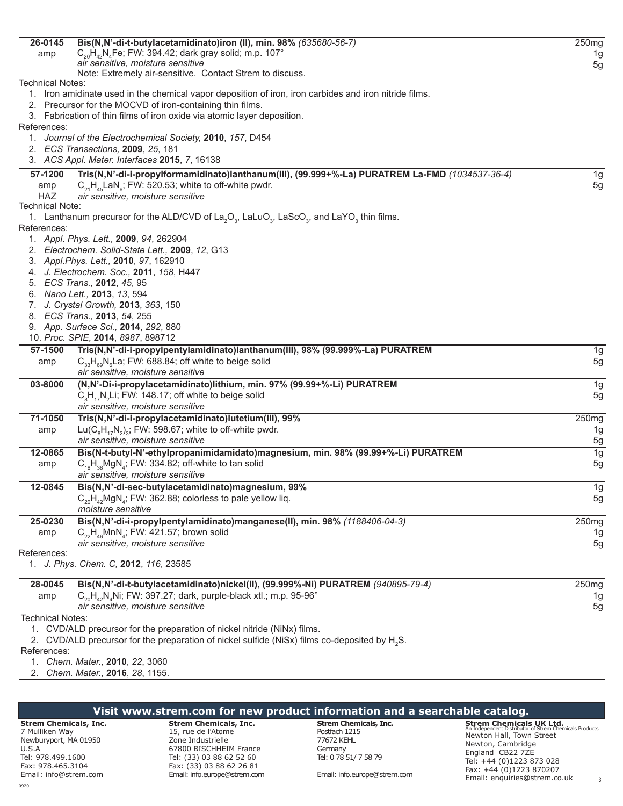| 26-0145                       | Bis(N,N'-di-t-butylacetamidinato)iron (II), min. 98% (635680-56-7)                                                                                                  | 250 <sub>mg</sub> |
|-------------------------------|---------------------------------------------------------------------------------------------------------------------------------------------------------------------|-------------------|
| amp                           | $C_{20}H_{42}N_{4}Fe$ ; FW: 394.42; dark gray solid; m.p. 107°                                                                                                      | 1g                |
|                               | air sensitive, moisture sensitive                                                                                                                                   | 5g                |
|                               | Note: Extremely air-sensitive. Contact Strem to discuss.                                                                                                            |                   |
| Technical Notes:              |                                                                                                                                                                     |                   |
|                               | 1. Iron amidinate used in the chemical vapor deposition of iron, iron carbides and iron nitride films.<br>2. Precursor for the MOCVD of iron-containing thin films. |                   |
|                               | 3. Fabrication of thin films of iron oxide via atomic layer deposition.                                                                                             |                   |
| References:                   |                                                                                                                                                                     |                   |
|                               | 1. Journal of the Electrochemical Society, 2010, 157, D454                                                                                                          |                   |
|                               | 2. ECS Transactions, 2009, 25, 181                                                                                                                                  |                   |
|                               | 3. ACS Appl. Mater. Interfaces 2015, 7, 16138                                                                                                                       |                   |
|                               |                                                                                                                                                                     |                   |
| 57-1200                       | Tris(N,N'-di-i-propylformamidinato)lanthanum(III), (99.999+%-La) PURATREM La-FMD (1034537-36-4)                                                                     | 1g                |
| amp                           | $C_{21}H_{45}$ LaN <sub>6</sub> ; FW: 520.53; white to off-white pwdr.                                                                                              | 5g                |
| <b>HAZ</b><br>Technical Note: | air sensitive, moisture sensitive                                                                                                                                   |                   |
|                               | 1. Lanthanum precursor for the ALD/CVD of La <sub>2</sub> O <sub>3</sub> , LaLuO <sub>3</sub> , LaScO <sub>3</sub> , and LaYO <sub>3</sub> thin films.              |                   |
| References:                   |                                                                                                                                                                     |                   |
|                               | 1. Appl. Phys. Lett., 2009, 94, 262904                                                                                                                              |                   |
|                               | 2. Electrochem. Solid-State Lett., 2009, 12, G13                                                                                                                    |                   |
|                               | 3. Appl. Phys. Lett., 2010, 97, 162910                                                                                                                              |                   |
|                               | 4. J. Electrochem. Soc., 2011, 158, H447                                                                                                                            |                   |
|                               | 5. ECS Trans., 2012, 45, 95                                                                                                                                         |                   |
|                               | 6. Nano Lett., 2013, 13, 594                                                                                                                                        |                   |
|                               | 7. J. Crystal Growth, 2013, 363, 150                                                                                                                                |                   |
|                               | 8. ECS Trans., 2013, 54, 255                                                                                                                                        |                   |
|                               | 9. App. Surface Sci., 2014, 292, 880                                                                                                                                |                   |
|                               | 10. Proc. SPIE, 2014, 8987, 898712                                                                                                                                  |                   |
| 57-1500                       | Tris(N,N'-di-i-propylpentylamidinato)lanthanum(III), 98% (99.999%-La) PURATREM                                                                                      | 1g                |
| amp                           | $C_{33}H_{69}N_{6}La$ ; FW: 688.84; off white to beige solid                                                                                                        | 5g                |
|                               | air sensitive, moisture sensitive                                                                                                                                   |                   |
| 03-8000                       | (N,N'-Di-i-propylacetamidinato)lithium, min. 97% (99.99+%-Li) PURATREM                                                                                              | 1g                |
|                               | $C_sH_{17}N_2Li$ ; FW: 148.17; off white to beige solid                                                                                                             | 5 <sub>g</sub>    |
|                               | air sensitive, moisture sensitive                                                                                                                                   |                   |
| 71-1050                       | Tris(N,N'-di-i-propylacetamidinato)lutetium(III), 99%                                                                                                               | 250 <sub>mg</sub> |
| amp                           | Lu( $C_8H_{17}N_2$ ) <sub>3</sub> ; FW: 598.67; white to off-white pwdr.                                                                                            | 1g                |
|                               | air sensitive, moisture sensitive                                                                                                                                   | $\frac{5g}{2}$    |
| 12-0865                       | Bis(N-t-butyl-N'-ethylpropanimidamidato)magnesium, min. 98% (99.99+%-Li) PURATREM                                                                                   | 1g                |
| amp                           | $C_{18}H_{28}MgN_A$ ; FW: 334.82; off-white to tan solid                                                                                                            | 5g                |
|                               | air sensitive, moisture sensitive                                                                                                                                   |                   |
| 12-0845                       | Bis(N,N'-di-sec-butylacetamidinato)magnesium, 99%                                                                                                                   | 1g                |
|                               | $C_{20}H_{42}MgN_{4}$ ; FW: 362.88; colorless to pale yellow liq.                                                                                                   | 5g                |
|                               | moisture sensitive                                                                                                                                                  |                   |
| 25-0230                       | Bis(N,N'-di-i-propylpentylamidinato)manganese(II), min. 98% (1188406-04-3)                                                                                          | 250mg             |
| amp                           | $C_{22}H_{46}MnN_A$ ; FW: 421.57; brown solid                                                                                                                       | 1g                |
|                               | air sensitive, moisture sensitive                                                                                                                                   | 5g                |
| References:                   |                                                                                                                                                                     |                   |
|                               | 1. J. Phys. Chem. C, 2012, 116, 23585                                                                                                                               |                   |
|                               |                                                                                                                                                                     |                   |
| 28-0045                       | Bis(N,N'-di-t-butylacetamidinato)nickel(II), (99.999%-Ni) PURATREM (940895-79-4)                                                                                    | 250 <sub>mg</sub> |
| amp                           | $C_{20}H_{42}N_A$ Ni; FW: 397.27; dark, purple-black xtl.; m.p. 95-96°                                                                                              | 1g                |
|                               | air sensitive, moisture sensitive                                                                                                                                   | 5g                |
| <b>Technical Notes:</b>       |                                                                                                                                                                     |                   |
|                               | 1. CVD/ALD precursor for the preparation of nickel nitride (NiNx) films.                                                                                            |                   |
|                               | 2. CVD/ALD precursor for the preparation of nickel sulfide (NiSx) films co-deposited by H <sub>2</sub> S.                                                           |                   |
| References:                   |                                                                                                                                                                     |                   |
|                               | 1. Chem. Mater., 2010, 22, 3060<br>2. Chem. Mater., 2016, 28, 1155.                                                                                                 |                   |
|                               |                                                                                                                                                                     |                   |

#### **Visit www.strem.com for new product information and a searchable catalog. Strem Chemicals, Inc.** 7 Mulliken Way Newburyport, MA 01950 Tel: 978.499.1600 Fax: 978.465.3104 **Strem Chemicals, Inc.**  15, rue de l'Atome Zone Industrielle 67800 BISCHHEIM France Tel: (33) 03 88 62 52 60 Fax: (33) 03 88 62 26 81 **Strem Chemicals, Inc.** Postfach 1215 77672 KEHL **Germany** Tel: 0 78 51/ 7 58 79 **Strem Chemicals UK Ltd.** An Independent Distributor of Strem Chemicals Products Newton Hall, Town Street Newton, Cambridge England CB22 7ZE Tel: +44 (0)1223 873 028 Fax: +44 (0)1223 870207

0920 Email: [info@strem.com](mailto:info%40strem.com?subject=Inquiry%3A%20Metal%20Amidinates)

U.S.A

Email[: info.europe@strem.com](mailto:info.europe%40strem.com?subject=Inquiry%3A%20Metal%20Amidinates)

Email: [info.europe@strem.com](mailto:info.europe%40strem.com?subject=Inquiry%3A%20Metal%20Amidinates)